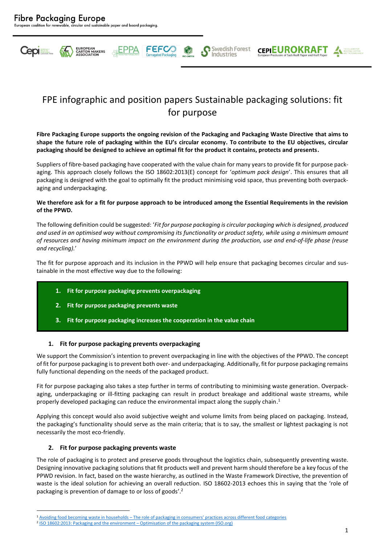

# FPE infographic and position papers Sustainable packaging solutions: fit for purpose

**FEFCC** 

Swedish Forest

Industries

**CEPIEUROKRAFT** 

**Fibre Packaging Europe supports the ongoing revision of the Packaging and Packaging Waste Directive that aims to shape the future role of packaging within the EU's circular economy. To contribute to the EU objectives, circular packaging should be designed to achieve an optimal fit for the product it contains, protects and presents.** 

Suppliers of fibre-based packaging have cooperated with the value chain for many years to provide fit for purpose packaging. This approach closely follows the ISO 18602:2013(E) concept for '*optimum pack design*'. This ensures that all packaging is designed with the goal to optimally fit the product minimising void space, thus preventing both overpackaging and underpackaging.

#### **We therefore ask for a fit for purpose approach to be introduced among the Essential Requirements in the revision of the PPWD.**

The following definition could be suggested: '*Fit for purpose packaging is circular packaging which is designed, produced and used in an optimised way without compromising its functionality or product safety, while using a minimum amount of resources and having minimum impact on the environment during the production, use and end-of-life phase (reuse and recycling).*'

The fit for purpose approach and its inclusion in the PPWD will help ensure that packaging becomes circular and sustainable in the most effective way due to the following:

- **1. Fit for purpose packaging prevents overpackaging**
- **2. Fit for purpose packaging prevents waste**
- **3. Fit for purpose packaging increases the cooperation in the value chain**

# **1. Fit for purpose packaging prevents overpackaging**

We support the Commission's intention to prevent overpackaging in line with the objectives of the PPWD. The concept of fit for purpose packaging is to prevent both over- and underpackaging. Additionally, fit for purpose packaging remains fully functional depending on the needs of the packaged product.

Fit for purpose packaging also takes a step further in terms of contributing to minimising waste generation. Overpackaging, underpackaging or ill-fitting packaging can result in product breakage and additional waste streams, while properly developed packaging can reduce the environmental impact along the supply chain. 1

Applying this concept would also avoid subjective weight and volume limits from being placed on packaging. Instead, the packaging's functionality should serve as the main criteria; that is to say, the smallest or lightest packaging is not necessarily the most eco-friendly.

# **2. Fit for purpose packaging prevents waste**

The role of packaging is to protect and preserve goods throughout the logistics chain, subsequently preventing waste. Designing innovative packaging solutions that fit products well and prevent harm should therefore be a key focus of the PPWD revision. In fact, based on the waste hierarchy, as outlined in the Waste Framework Directive, the prevention of waste is the ideal solution for achieving an overall reduction. ISO 18602-2013 echoes this in saying that the 'role of packaging is prevention of damage to or loss of goods'.<sup>2</sup>

<sup>1</sup> Avoiding food becoming waste in households – [The role of packaging in consumers' practices across different food categories](https://www.sciencedirect.com/science/article/pii/S0959652620318229)

<sup>&</sup>lt;sup>2</sup> ISO 18602:2013: Packaging and the environment – [Optimisation of the packaging system](https://www.iso.org/standard/55870.html) (ISO.org)